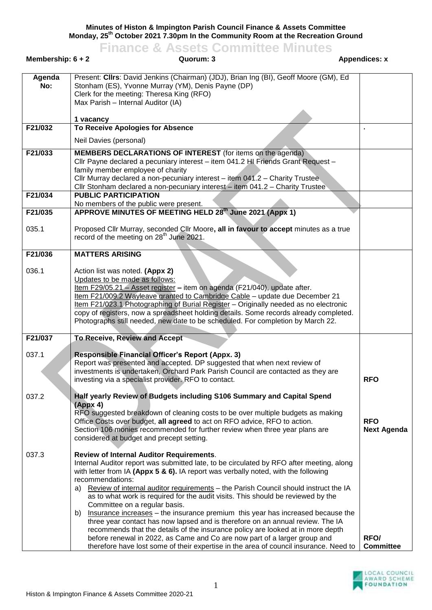**Minutes of Histon & Impington Parish Council Finance & Assets Committee**

**Monday, 25 th October 2021 7.30pm In the Community Room at the Recreation Ground Finance & Assets Committee Minutes**

| Membership: $6 + 2$ | Quorum: 3                                                                                                                                                                                                                                                                                                                                                                                                                                                                                                                                                                                                                                                                                                                                                                                                                                                                                                       | <b>Appendices: x</b>             |
|---------------------|-----------------------------------------------------------------------------------------------------------------------------------------------------------------------------------------------------------------------------------------------------------------------------------------------------------------------------------------------------------------------------------------------------------------------------------------------------------------------------------------------------------------------------------------------------------------------------------------------------------------------------------------------------------------------------------------------------------------------------------------------------------------------------------------------------------------------------------------------------------------------------------------------------------------|----------------------------------|
| Agenda<br>No:       | Present: Cllrs: David Jenkins (Chairman) (JDJ), Brian Ing (BI), Geoff Moore (GM), Ed<br>Stonham (ES), Yvonne Murray (YM), Denis Payne (DP)<br>Clerk for the meeting: Theresa King (RFO)<br>Max Parish - Internal Auditor (IA)                                                                                                                                                                                                                                                                                                                                                                                                                                                                                                                                                                                                                                                                                   |                                  |
|                     | 1 vacancy                                                                                                                                                                                                                                                                                                                                                                                                                                                                                                                                                                                                                                                                                                                                                                                                                                                                                                       |                                  |
| F21/032             | To Receive Apologies for Absence                                                                                                                                                                                                                                                                                                                                                                                                                                                                                                                                                                                                                                                                                                                                                                                                                                                                                |                                  |
|                     | Neil Davies (personal)                                                                                                                                                                                                                                                                                                                                                                                                                                                                                                                                                                                                                                                                                                                                                                                                                                                                                          |                                  |
| F21/033             | <b>MEMBERS DECLARATIONS OF INTEREST</b> (for items on the agenda)<br>Cllr Payne declared a pecuniary interest - item 041.2 HI Friends Grant Request -<br>family member employee of charity<br>Cllr Murray declared a non-pecuniary interest - item 041.2 - Charity Trustee<br>Cllr Stonham declared a non-pecuniary interest - item 041.2 - Charity Trustee                                                                                                                                                                                                                                                                                                                                                                                                                                                                                                                                                     |                                  |
| F21/034             | <b>PUBLIC PARTICIPATION</b><br>No members of the public were present.                                                                                                                                                                                                                                                                                                                                                                                                                                                                                                                                                                                                                                                                                                                                                                                                                                           |                                  |
| F21/035             | APPROVE MINUTES OF MEETING HELD 28th June 2021 (Appx 1)                                                                                                                                                                                                                                                                                                                                                                                                                                                                                                                                                                                                                                                                                                                                                                                                                                                         |                                  |
| 035.1               | Proposed Cllr Murray, seconded Cllr Moore, all in favour to accept minutes as a true<br>record of the meeting on 28 <sup>th</sup> June 2021.                                                                                                                                                                                                                                                                                                                                                                                                                                                                                                                                                                                                                                                                                                                                                                    |                                  |
| F21/036             | <b>MATTERS ARISING</b>                                                                                                                                                                                                                                                                                                                                                                                                                                                                                                                                                                                                                                                                                                                                                                                                                                                                                          |                                  |
| 036.1               | Action list was noted. (Appx 2)<br>Updates to be made as follows:<br>Item F29/05.21 - Asset register - item on agenda (F21/040), update after.<br>Item F21/009.2 Wayleave granted to Cambridge Cable - update due December 21<br>Item F21/023.1 Photographing of Burial Register - Originally needed as no electronic<br>copy of registers, now a spreadsheet holding details. Some records already completed.<br>Photographs still needed, new date to be scheduled. For completion by March 22.                                                                                                                                                                                                                                                                                                                                                                                                               |                                  |
| F21/037             | To Receive, Review and Accept                                                                                                                                                                                                                                                                                                                                                                                                                                                                                                                                                                                                                                                                                                                                                                                                                                                                                   |                                  |
| 037.1               | <b>Responsible Financial Officer's Report (Appx. 3)</b><br>Report was presented and accepted. DP suggested that when next review of<br>investments is undertaken, Orchard Park Parish Council are contacted as they are<br>investing via a specialist provider. RFO to contact.                                                                                                                                                                                                                                                                                                                                                                                                                                                                                                                                                                                                                                 | <b>RFO</b>                       |
| 037.2               | Half yearly Review of Budgets including S106 Summary and Capital Spend                                                                                                                                                                                                                                                                                                                                                                                                                                                                                                                                                                                                                                                                                                                                                                                                                                          |                                  |
|                     | (Appx 4)<br>RFO suggested breakdown of cleaning costs to be over multiple budgets as making<br>Office Costs over budget, all agreed to act on RFO advice, RFO to action.<br>Section 106 monies recommended for further review when three year plans are<br>considered at budget and precept setting.                                                                                                                                                                                                                                                                                                                                                                                                                                                                                                                                                                                                            | <b>RFO</b><br><b>Next Agenda</b> |
| 037.3               | <b>Review of Internal Auditor Requirements.</b><br>Internal Auditor report was submitted late, to be circulated by RFO after meeting, along<br>with letter from IA (Appx $5 \& 6$ ). IA report was verbally noted, with the following<br>recommendations:<br>Review of internal auditor requirements - the Parish Council should instruct the IA<br>a)<br>as to what work is required for the audit visits. This should be reviewed by the<br>Committee on a regular basis.<br>Insurance increases – the insurance premium this year has increased because the<br>b)<br>three year contact has now lapsed and is therefore on an annual review. The IA<br>recommends that the details of the insurance policy are looked at in more depth<br>before renewal in 2022, as Came and Co are now part of a larger group and<br>therefore have lost some of their expertise in the area of council insurance. Need to | RFO/<br><b>Committee</b>         |

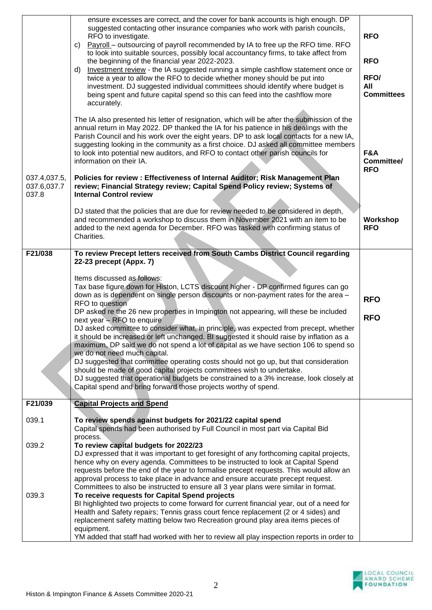|                                      | ensure excesses are correct, and the cover for bank accounts is high enough. DP<br>suggested contacting other insurance companies who work with parish councils,<br>RFO to investigate.<br>Payroll - outsourcing of payroll recommended by IA to free up the RFO time. RFO<br>C)<br>to look into suitable sources, possibly local accountancy firms, to take affect from<br>the beginning of the financial year 2022-2023.<br>Investment review - the IA suggested running a simple cashflow statement once or<br>d)<br>twice a year to allow the RFO to decide whether money should be put into<br>investment. DJ suggested individual committees should identify where budget is<br>being spent and future capital spend so this can feed into the cashflow more<br>accurately. | <b>RFO</b><br><b>RFO</b><br>RFO/<br>All<br><b>Committees</b> |
|--------------------------------------|-----------------------------------------------------------------------------------------------------------------------------------------------------------------------------------------------------------------------------------------------------------------------------------------------------------------------------------------------------------------------------------------------------------------------------------------------------------------------------------------------------------------------------------------------------------------------------------------------------------------------------------------------------------------------------------------------------------------------------------------------------------------------------------|--------------------------------------------------------------|
|                                      | The IA also presented his letter of resignation, which will be after the submission of the<br>annual return in May 2022. DP thanked the IA for his patience in his dealings with the<br>Parish Council and his work over the eight years. DP to ask local contacts for a new IA,<br>suggesting looking in the community as a first choice. DJ asked all committee members<br>to look into potential new auditors, and RFO to contact other parish councils for<br>information on their IA.                                                                                                                                                                                                                                                                                        |                                                              |
| 037.4,037.5,<br>037.6,037.7<br>037.8 | Policies for review : Effectiveness of Internal Auditor; Risk Management Plan<br>review; Financial Strategy review; Capital Spend Policy review; Systems of<br><b>Internal Control review</b>                                                                                                                                                                                                                                                                                                                                                                                                                                                                                                                                                                                     |                                                              |
|                                      | DJ stated that the policies that are due for review needed to be considered in depth,<br>and recommended a workshop to discuss them in November 2021 with an item to be<br>added to the next agenda for December. RFO was tasked with confirming status of<br>Charities.                                                                                                                                                                                                                                                                                                                                                                                                                                                                                                          | Workshop<br><b>RFO</b>                                       |
| F21/038                              | To review Precept letters received from South Cambs District Council regarding                                                                                                                                                                                                                                                                                                                                                                                                                                                                                                                                                                                                                                                                                                    |                                                              |
|                                      | 22-23 precept (Appx. 7)                                                                                                                                                                                                                                                                                                                                                                                                                                                                                                                                                                                                                                                                                                                                                           |                                                              |
|                                      | Items discussed as follows:                                                                                                                                                                                                                                                                                                                                                                                                                                                                                                                                                                                                                                                                                                                                                       |                                                              |
|                                      | Tax base figure down for Histon, LCTS discount higher - DP confirmed figures can go<br>down as is dependent on single person discounts or non-payment rates for the area -                                                                                                                                                                                                                                                                                                                                                                                                                                                                                                                                                                                                        | <b>RFO</b>                                                   |
|                                      | RFO to question<br>DP asked re the 26 new properties in Impington not appearing, will these be included                                                                                                                                                                                                                                                                                                                                                                                                                                                                                                                                                                                                                                                                           |                                                              |
|                                      | next year - RFO to enquire                                                                                                                                                                                                                                                                                                                                                                                                                                                                                                                                                                                                                                                                                                                                                        | <b>RFO</b>                                                   |
|                                      | DJ asked committee to consider what, in principle, was expected from precept, whether<br>it should be increased or left unchanged. BI suggested it should raise by inflation as a                                                                                                                                                                                                                                                                                                                                                                                                                                                                                                                                                                                                 |                                                              |
|                                      | maximum, DP said we do not spend a lot of capital as we have section 106 to spend so                                                                                                                                                                                                                                                                                                                                                                                                                                                                                                                                                                                                                                                                                              |                                                              |
|                                      | we do not need much capital.<br>DJ suggested that committee operating costs should not go up, but that consideration                                                                                                                                                                                                                                                                                                                                                                                                                                                                                                                                                                                                                                                              |                                                              |
|                                      | should be made of good capital projects committees wish to undertake.                                                                                                                                                                                                                                                                                                                                                                                                                                                                                                                                                                                                                                                                                                             |                                                              |
|                                      | DJ suggested that operational budgets be constrained to a 3% increase, look closely at                                                                                                                                                                                                                                                                                                                                                                                                                                                                                                                                                                                                                                                                                            |                                                              |
|                                      | Capital spend and bring forward those projects worthy of spend.                                                                                                                                                                                                                                                                                                                                                                                                                                                                                                                                                                                                                                                                                                                   |                                                              |
| F21/039                              | <b>Capital Projects and Spend</b>                                                                                                                                                                                                                                                                                                                                                                                                                                                                                                                                                                                                                                                                                                                                                 |                                                              |
| 039.1                                | To review spends against budgets for 2021/22 capital spend                                                                                                                                                                                                                                                                                                                                                                                                                                                                                                                                                                                                                                                                                                                        |                                                              |
|                                      | Capital spends had been authorised by Full Council in most part via Capital Bid                                                                                                                                                                                                                                                                                                                                                                                                                                                                                                                                                                                                                                                                                                   |                                                              |
| 039.2                                | process.<br>To review capital budgets for 2022/23                                                                                                                                                                                                                                                                                                                                                                                                                                                                                                                                                                                                                                                                                                                                 |                                                              |
|                                      | DJ expressed that it was important to get foresight of any forthcoming capital projects,                                                                                                                                                                                                                                                                                                                                                                                                                                                                                                                                                                                                                                                                                          |                                                              |
|                                      | hence why on every agenda. Committees to be instructed to look at Capital Spend<br>requests before the end of the year to formalise precept requests. This would allow an                                                                                                                                                                                                                                                                                                                                                                                                                                                                                                                                                                                                         |                                                              |
|                                      | approval process to take place in advance and ensure accurate precept request.<br>Committees to also be instructed to ensure all 3 year plans were similar in format.<br>To receive requests for Capital Spend projects<br>BI highlighted two projects to come forward for current financial year, out of a need for                                                                                                                                                                                                                                                                                                                                                                                                                                                              |                                                              |
| 039.3                                |                                                                                                                                                                                                                                                                                                                                                                                                                                                                                                                                                                                                                                                                                                                                                                                   |                                                              |
|                                      |                                                                                                                                                                                                                                                                                                                                                                                                                                                                                                                                                                                                                                                                                                                                                                                   |                                                              |
|                                      | Health and Safety repairs; Tennis grass court fence replacement (2 or 4 sides) and                                                                                                                                                                                                                                                                                                                                                                                                                                                                                                                                                                                                                                                                                                |                                                              |
|                                      | replacement safety matting below two Recreation ground play area items pieces of<br>equipment.                                                                                                                                                                                                                                                                                                                                                                                                                                                                                                                                                                                                                                                                                    |                                                              |
|                                      | YM added that staff had worked with her to review all play inspection reports in order to                                                                                                                                                                                                                                                                                                                                                                                                                                                                                                                                                                                                                                                                                         |                                                              |

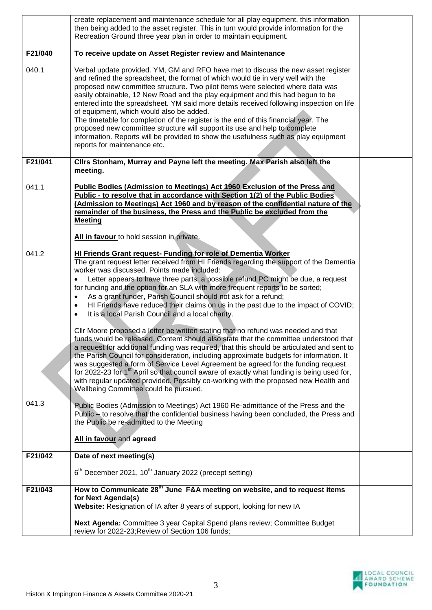|         | create replacement and maintenance schedule for all play equipment, this information<br>then being added to the asset register. This in turn would provide information for the<br>Recreation Ground three year plan in order to maintain equipment.                                                                                                                                                                                                                                                                                                                                                                                                                                                                                                                                                                                                                                                                                                                                                                                                                                                                                                                                                                                                                                                                                             |  |
|---------|-------------------------------------------------------------------------------------------------------------------------------------------------------------------------------------------------------------------------------------------------------------------------------------------------------------------------------------------------------------------------------------------------------------------------------------------------------------------------------------------------------------------------------------------------------------------------------------------------------------------------------------------------------------------------------------------------------------------------------------------------------------------------------------------------------------------------------------------------------------------------------------------------------------------------------------------------------------------------------------------------------------------------------------------------------------------------------------------------------------------------------------------------------------------------------------------------------------------------------------------------------------------------------------------------------------------------------------------------|--|
| F21/040 | To receive update on Asset Register review and Maintenance                                                                                                                                                                                                                                                                                                                                                                                                                                                                                                                                                                                                                                                                                                                                                                                                                                                                                                                                                                                                                                                                                                                                                                                                                                                                                      |  |
| 040.1   | Verbal update provided. YM, GM and RFO have met to discuss the new asset register<br>and refined the spreadsheet, the format of which would tie in very well with the<br>proposed new committee structure. Two pilot items were selected where data was<br>easily obtainable, 12 New Road and the play equipment and this had begun to be<br>entered into the spreadsheet. YM said more details received following inspection on life<br>of equipment, which would also be added.<br>The timetable for completion of the register is the end of this financial year. The<br>proposed new committee structure will support its use and help to complete<br>information. Reports will be provided to show the usefulness such as play equipment<br>reports for maintenance etc.                                                                                                                                                                                                                                                                                                                                                                                                                                                                                                                                                                   |  |
| F21/041 | Clirs Stonham, Murray and Payne left the meeting. Max Parish also left the                                                                                                                                                                                                                                                                                                                                                                                                                                                                                                                                                                                                                                                                                                                                                                                                                                                                                                                                                                                                                                                                                                                                                                                                                                                                      |  |
| 041.1   | meeting.<br><b>Public Bodies (Admission to Meetings) Act 1960 Exclusion of the Press and</b><br>Public - to resolve that in accordance with Section 1(2) of the Public Bodies<br>(Admission to Meetings) Act 1960 and by reason of the confidential nature of the<br>remainder of the business, the Press and the Public be excluded from the<br><b>Meeting</b>                                                                                                                                                                                                                                                                                                                                                                                                                                                                                                                                                                                                                                                                                                                                                                                                                                                                                                                                                                                 |  |
|         | All in favour to hold session in private.                                                                                                                                                                                                                                                                                                                                                                                                                                                                                                                                                                                                                                                                                                                                                                                                                                                                                                                                                                                                                                                                                                                                                                                                                                                                                                       |  |
| 041.2   | <b>HI Friends Grant request- Funding for role of Dementia Worker</b><br>The grant request letter received from HI Friends regarding the support of the Dementia<br>worker was discussed. Points made included:<br>Letter appears to have three parts: a possible refund PC might be due, a request<br>for funding and the option for an SLA with more frequent reports to be sorted;<br>As a grant funder, Parish Council should not ask for a refund;<br>$\bullet$<br>HI Friends have reduced their claims on us in the past due to the impact of COVID;<br>$\bullet$<br>It is a local Parish Council and a local charity.<br>$\bullet$<br>CIIr Moore proposed a letter be written stating that no refund was needed and that<br>funds would be released. Content should also state that the committee understood that<br>a request for additional funding was required, that this should be articulated and sent to<br>the Parish Council for consideration, including approximate budgets for information. It<br>was suggested a form of Service Level Agreement be agreed for the funding request<br>for 2022-23 for 1 <sup>st</sup> April so that council aware of exactly what funding is being used for,<br>with regular updated provided. Possibly co-working with the proposed new Health and<br>Wellbeing Committee could be pursued. |  |
| 041.3   | Public Bodies (Admission to Meetings) Act 1960 Re-admittance of the Press and the<br>Public - to resolve that the confidential business having been concluded, the Press and<br>the Public be re-admitted to the Meeting                                                                                                                                                                                                                                                                                                                                                                                                                                                                                                                                                                                                                                                                                                                                                                                                                                                                                                                                                                                                                                                                                                                        |  |
|         | All in favour and agreed                                                                                                                                                                                                                                                                                                                                                                                                                                                                                                                                                                                                                                                                                                                                                                                                                                                                                                                                                                                                                                                                                                                                                                                                                                                                                                                        |  |
| F21/042 | Date of next meeting(s)                                                                                                                                                                                                                                                                                                                                                                                                                                                                                                                                                                                                                                                                                                                                                                                                                                                                                                                                                                                                                                                                                                                                                                                                                                                                                                                         |  |
|         | $6th$ December 2021, 10 <sup>th</sup> January 2022 (precept setting)                                                                                                                                                                                                                                                                                                                                                                                                                                                                                                                                                                                                                                                                                                                                                                                                                                                                                                                                                                                                                                                                                                                                                                                                                                                                            |  |
| F21/043 | How to Communicate 28 <sup>th</sup> June F&A meeting on website, and to request items<br>for Next Agenda(s)<br>Website: Resignation of IA after 8 years of support, looking for new IA                                                                                                                                                                                                                                                                                                                                                                                                                                                                                                                                                                                                                                                                                                                                                                                                                                                                                                                                                                                                                                                                                                                                                          |  |
|         | Next Agenda: Committee 3 year Capital Spend plans review; Committee Budget<br>review for 2022-23; Review of Section 106 funds;                                                                                                                                                                                                                                                                                                                                                                                                                                                                                                                                                                                                                                                                                                                                                                                                                                                                                                                                                                                                                                                                                                                                                                                                                  |  |